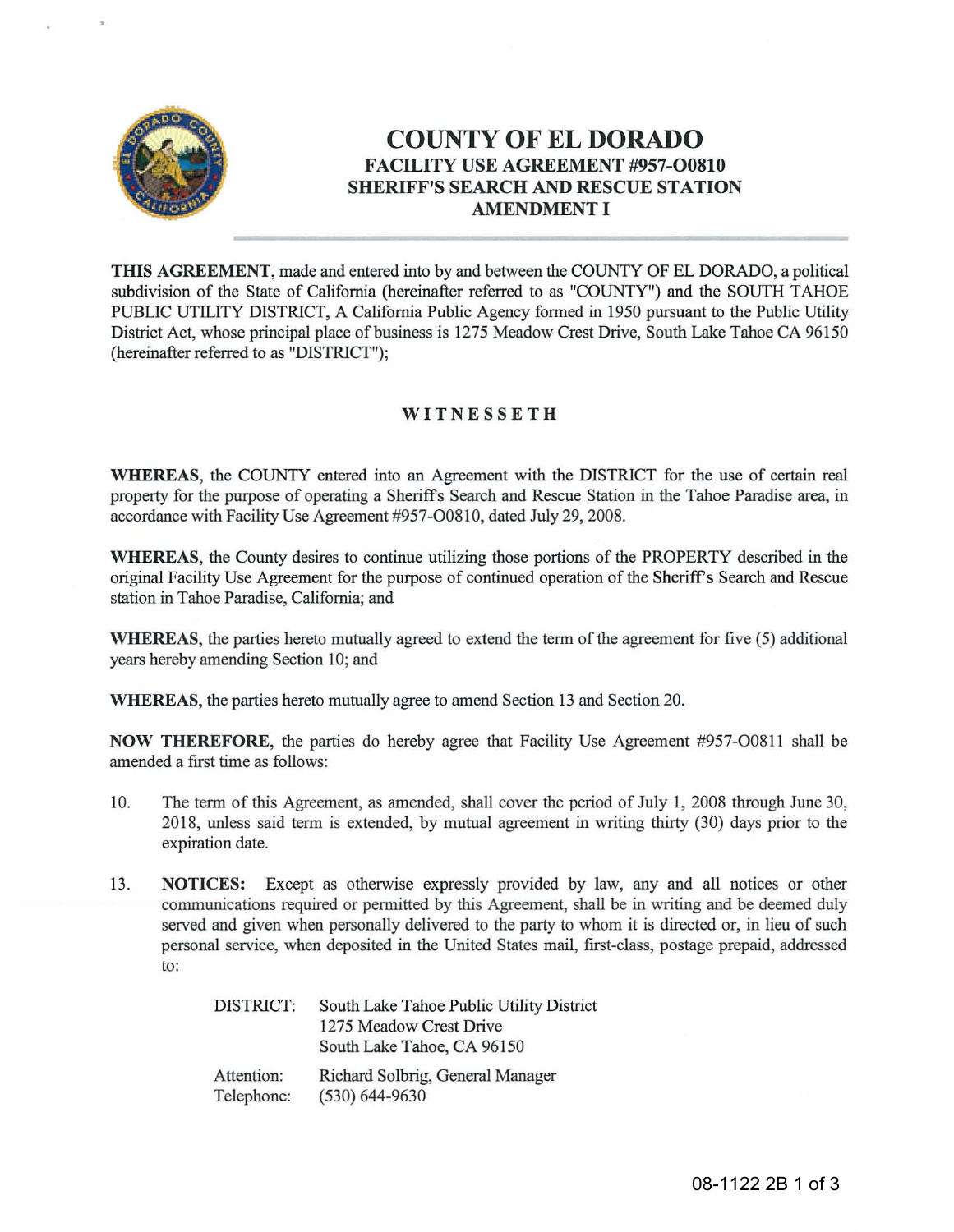

# **COUNTY OF EL DORADO**  FACILITY USE AGREEMENT #957-00810 SHERIFF'S SEARCH AND RESCUE STATION AMENDMENT I

THIS AGREEMENT, made and entered into by and between the COUNTY OF EL DORADO, a political subdivision of the State of California (hereinafter referred to as "COUNTY") and the SOUTH TAHOE PUBLIC UTILITY DISTRICT, A California Public Agency formed in 1950 pursuant to the Public Utility District Act, whose principal place of business is 1275 Meadow Crest Drive, South Lake Tahoe CA 96150 (hereinafter referred to as "DISTRICT");

# **WITNESSETH**

WHEREAS, the COUNTY entered into an Agreement with the DISTRICT for the use of certain real property for the purpose of operating a Sheriff's Search and Rescue Station in the Tahoe Paradise area, in accordance with Facility Use Agreement #957-O0810, dated July 29, 2008.

WHEREAS, the County desires to continue utilizing those portions of the PROPERTY described in the original Facility Use Agreement for the purpose of continued operation of the Sheriff's Search and Rescue station in Tahoe Paradise, California; and

WHEREAS, the parties hereto mutually agreed to extend the term of the agreement for five (5) additional years hereby amending Section 10; and

WHEREAS, the parties hereto mutually agree to amend Section 13 and Section 20.

NOW THEREFORE, the parties do hereby agree that Facility Use Agreement #957-00811 shall be amended a first time as follows:

- 10. The term of this Agreement, as amended, shall cover the period of July 1, 2008 through June 30, 2018, unless said term is extended, by mutual agreement in writing thirty (30) days prior to the expiration date.
- 13. NOTICES: Except as otherwise expressly provided by law, any and all notices or other communications required or permitted by this Agreement, shall be in writing and be deemed duly served and given when personally delivered to the party to whom it is directed or, in lieu of such personal service, when deposited in the United States mail, first-class, postage prepaid, addressed to:

| DISTRICT:  | South Lake Tahoe Public Utility District |  |  |
|------------|------------------------------------------|--|--|
|            | 1275 Meadow Crest Drive                  |  |  |
|            | South Lake Tahoe, CA 96150               |  |  |
| Attention: | Richard Solbrig, General Manager         |  |  |
| Telephone: | $(530) 644 - 9630$                       |  |  |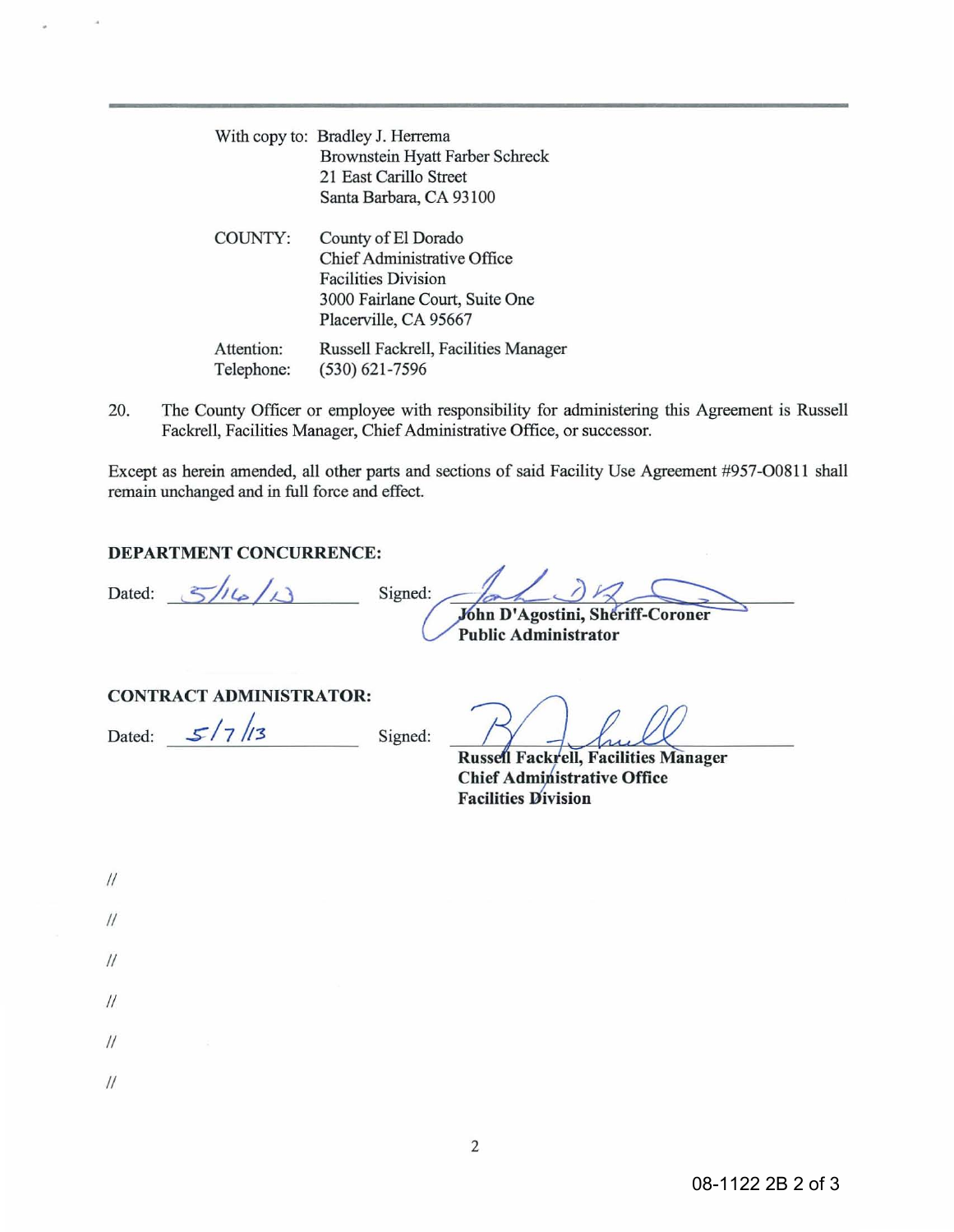|                          | With copy to: Bradley J. Herrema<br>Brownstein Hyatt Farber Schreck<br>21 East Carillo Street<br>Santa Barbara, CA 93100                    |
|--------------------------|---------------------------------------------------------------------------------------------------------------------------------------------|
| COUNTY:                  | County of El Dorado<br>Chief Administrative Office<br><b>Facilities Division</b><br>3000 Fairlane Court, Suite One<br>Placerville, CA 95667 |
| Attention:<br>Telephone: | Russell Fackrell, Facilities Manager<br>$(530) 621 - 7596$                                                                                  |

20. The County Officer or employee with responsibility for administering this Agreement is Russell Fackrell, Facilities Manager, Chief Administrative Office, or successor.

Except as herein amended, all other parts and sections of said Facility Use Agreement #957-00811 shall remain unchanged and in full force and effect.

### DEPARTMENT CONCURRENCE:

Dated:  $5/4/3$ 

Signed: John D'Agostini, Sheriff-Coroner Public Administrator

#### CONTRACT ADMINISTRATOR:

Dated:  $\frac{\mathcal{S}}{7}$ //3 Signed:

Russell Fackrell, Facilities Manager Chief Administrative Office **Facilities Division** 

| $\frac{1}{2}$   |   |  |   |
|-----------------|---|--|---|
| $\frac{1}{2}$   |   |  |   |
| $\frac{1}{2}$   |   |  |   |
| $\frac{1}{2}$   |   |  | ۷ |
| $\frac{1}{2}$   | š |  |   |
| $\overline{11}$ |   |  |   |